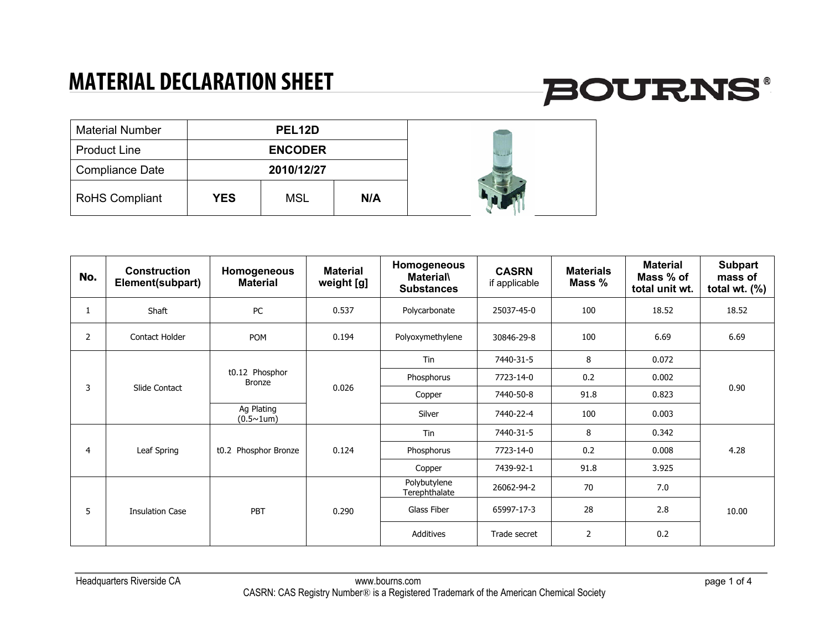#### **MATERIAL DECLARATION SHEET**

# **BOURNS®**

| <b>Material Number</b> |            | PEL <sub>12</sub> D |     |  |
|------------------------|------------|---------------------|-----|--|
| <b>Product Line</b>    |            | <b>ENCODER</b>      |     |  |
| <b>Compliance Date</b> |            | 2010/12/27          |     |  |
| <b>RoHS Compliant</b>  | <b>YES</b> | <b>MSL</b>          | N/A |  |

| No.            | <b>Construction</b><br>Element(subpart) | Homogeneous<br><b>Material</b>  | <b>Material</b><br>weight [g] | Homogeneous<br><b>Material\</b><br><b>Substances</b> | <b>CASRN</b><br>if applicable | <b>Materials</b><br>Mass % | <b>Material</b><br>Mass % of<br>total unit wt. | <b>Subpart</b><br>mass of<br>total wt. $(\%)$ |
|----------------|-----------------------------------------|---------------------------------|-------------------------------|------------------------------------------------------|-------------------------------|----------------------------|------------------------------------------------|-----------------------------------------------|
| 1              | Shaft                                   | PC                              | 0.537                         | Polycarbonate                                        | 25037-45-0                    | 100                        | 18.52                                          | 18.52                                         |
| $\overline{2}$ | Contact Holder                          | <b>POM</b>                      | 0.194                         | Polyoxymethylene                                     | 30846-29-8                    | 100                        | 6.69                                           | 6.69                                          |
|                |                                         |                                 |                               | Tin                                                  | 7440-31-5                     | 8                          | 0.072                                          | 0.90                                          |
|                |                                         | t0.12 Phosphor<br><b>Bronze</b> |                               | Phosphorus                                           | 7723-14-0                     | 0.2                        | 0.002                                          |                                               |
| 3              | Slide Contact                           |                                 | 0.026                         | Copper                                               | 7440-50-8                     | 91.8                       | 0.823                                          |                                               |
|                |                                         | Ag Plating<br>$(0.5 \sim 1$ um) |                               | Silver                                               | 7440-22-4                     | 100                        | 0.003                                          |                                               |
|                |                                         |                                 |                               | Tin                                                  | 7440-31-5                     | 8                          | 0.342                                          | 4.28                                          |
| 4              | Leaf Spring                             | t0.2 Phosphor Bronze            | 0.124                         | Phosphorus                                           | 7723-14-0                     | 0.2                        | 0.008                                          |                                               |
|                |                                         |                                 |                               | Copper                                               | 7439-92-1                     | 91.8                       | 3.925                                          |                                               |
|                |                                         |                                 |                               | Polybutylene<br>Terephthalate                        | 26062-94-2                    | 70                         | 7.0                                            | 10.00                                         |
| 5              | <b>Insulation Case</b>                  | PBT                             | 0.290                         | Glass Fiber                                          | 65997-17-3                    | 28                         | 2.8                                            |                                               |
|                |                                         |                                 |                               | Additives                                            | Trade secret                  | $\overline{2}$             | 0.2                                            |                                               |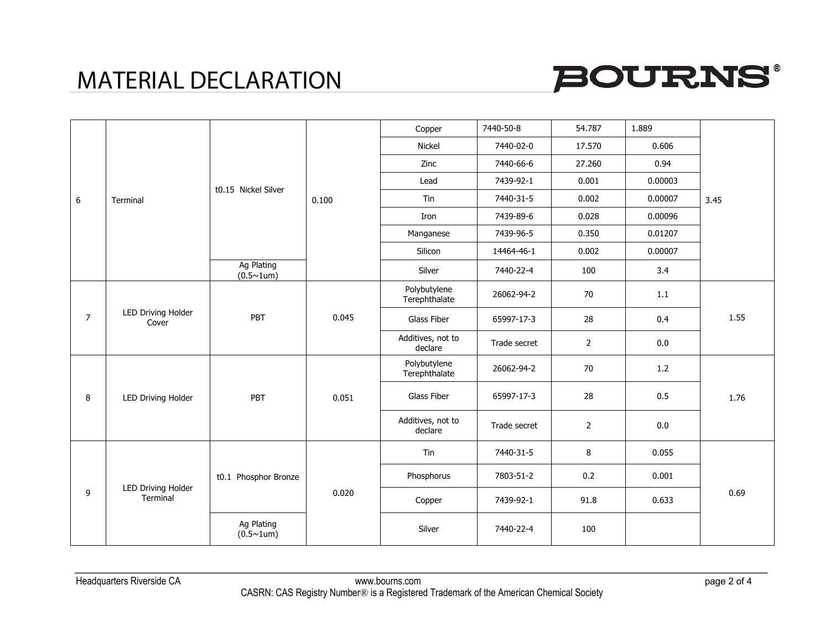## MATERIAL DECLARATION



|                |                                |                                          |       | Copper                        | 7440-50-8    | 54.787         | 1.889   | 3.45 |
|----------------|--------------------------------|------------------------------------------|-------|-------------------------------|--------------|----------------|---------|------|
|                |                                |                                          | 0.100 | Nickel                        | 7440-02-0    | 17.570         | 0.606   |      |
|                |                                |                                          |       | Zinc                          | 7440-66-6    | 27.260         | 0.94    |      |
|                |                                | t0.15 Nickel Silver                      |       | Lead                          | 7439-92-1    | 0.001          | 0.00003 |      |
| 6              | Terminal                       |                                          |       | Tin                           | 7440-31-5    | 0.002          | 0.00007 |      |
|                |                                |                                          |       | Iron                          | 7439-89-6    | 0.028          | 0.00096 |      |
|                |                                |                                          |       | Manganese                     | 7439-96-5    | 0.350          | 0.01207 |      |
|                |                                |                                          |       | Silicon                       | 14464-46-1   | 0.002          | 0.00007 |      |
|                |                                | <b>Ag Plating</b><br>$(0.5 \times 1$ um) |       | Silver                        | 7440-22-4    | 100            | 3.4     |      |
|                |                                |                                          |       | Polybutylene<br>Terephthalate | 26062-94-2   | 70             | 1.1     | 1.55 |
| $\overline{7}$ | LED Driving Holder<br>Cover    | PBT                                      | 0.045 | Glass Fiber                   | 65997-17-3   | 28             | 0.4     |      |
|                |                                |                                          |       | Additives, not to<br>declare  | Trade secret | $\overline{2}$ | 0.0     |      |
|                |                                |                                          |       | Polybutylene<br>Terephthalate | 26062-94-2   | 70             | 1.2     | 1.76 |
| 8              | LED Driving Holder             | PBT                                      | 0.051 | Glass Fiber                   | 65997-17-3   | 28             | 0.5     |      |
|                |                                |                                          |       | Additives, not to<br>declare  | Trade secret | $\overline{2}$ | 0.0     |      |
|                |                                |                                          |       | Tin                           | 7440-31-5    | 8              | 0.055   |      |
|                |                                | t0.1 Phosphor Bronze                     |       | Phosphorus                    | 7803-51-2    | 0.2            | 0.001   |      |
| 9              | LED Driving Holder<br>Terminal |                                          | 0.020 | Copper                        | 7439-92-1    | 91.8           | 0.633   | 0.69 |
|                |                                | Ag Plating<br>$(0.5 \sim 1$ um)          |       | Silver                        | 7440-22-4    | 100            |         |      |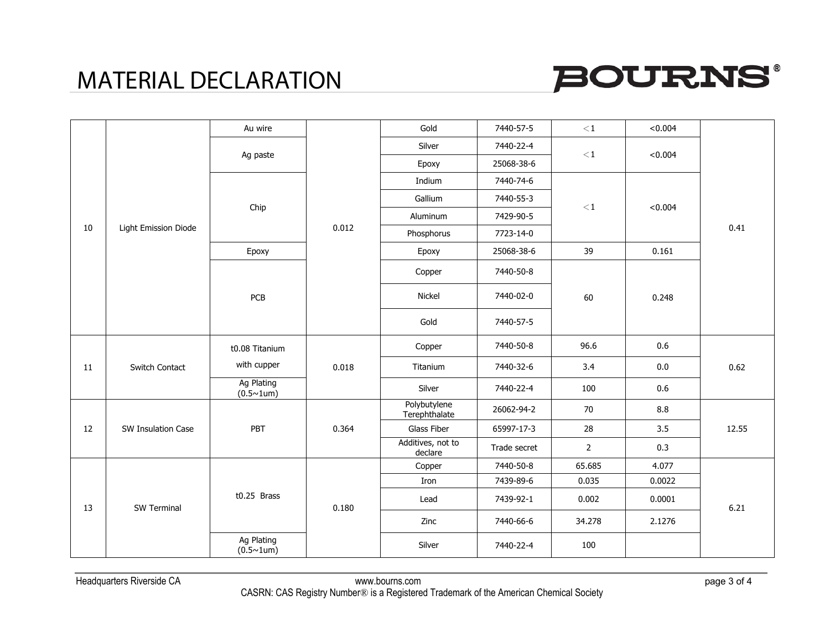### MATERIAL DECLARATION



|    |                      | Au wire                           |       | Gold                          | 7440-57-5    | $<$ 1          | < 0.004 |       |
|----|----------------------|-----------------------------------|-------|-------------------------------|--------------|----------------|---------|-------|
|    |                      |                                   |       | Silver                        | 7440-22-4    |                |         |       |
|    |                      | Ag paste                          |       | Epoxy                         | 25068-38-6   | $\!<\!1$       | < 0.004 |       |
|    |                      |                                   |       | Indium                        | 7440-74-6    |                |         |       |
|    |                      |                                   |       | Gallium                       | 7440-55-3    |                |         | 0.41  |
|    |                      | Chip                              |       | Aluminum                      | 7429-90-5    | $\leq$ 1       | < 0.004 |       |
| 10 | Light Emission Diode |                                   | 0.012 | Phosphorus                    | 7723-14-0    |                |         |       |
|    |                      | Epoxy                             |       | Epoxy                         | 25068-38-6   | 39             | 0.161   |       |
|    |                      |                                   |       | Copper                        | 7440-50-8    |                |         |       |
|    |                      | PCB                               |       | Nickel                        | 7440-02-0    | 60             | 0.248   |       |
|    |                      |                                   |       | Gold                          | 7440-57-5    |                |         |       |
|    |                      | t0.08 Titanium                    |       | Copper                        | 7440-50-8    | 96.6           | 0.6     | 0.62  |
| 11 | Switch Contact       | with cupper                       | 0.018 | Titanium                      | 7440-32-6    | 3.4            | 0.0     |       |
|    |                      | Ag Plating<br>$(0.5 \times 1$ um) |       | Silver                        | 7440-22-4    | 100            | 0.6     |       |
|    |                      |                                   |       | Polybutylene<br>Terephthalate | 26062-94-2   | 70             | 8.8     |       |
| 12 | SW Insulation Case   | PBT                               | 0.364 | Glass Fiber                   | 65997-17-3   | 28             | 3.5     | 12.55 |
|    |                      |                                   |       | Additives, not to<br>declare  | Trade secret | $\overline{2}$ | 0.3     |       |
|    |                      |                                   |       | Copper                        | 7440-50-8    | 65.685         | 4.077   | 6.21  |
|    |                      |                                   |       | Iron                          | 7439-89-6    | 0.035          | 0.0022  |       |
| 13 | <b>SW Terminal</b>   | $t0.25$ Brass                     | 0.180 | Lead                          | 7439-92-1    | 0.002          | 0.0001  |       |
|    |                      |                                   |       | Zinc                          | 7440-66-6    | 34.278         | 2.1276  |       |
|    |                      | Ag Plating<br>$(0.5 \times 1$ um) |       | Silver                        | 7440-22-4    | 100            |         |       |